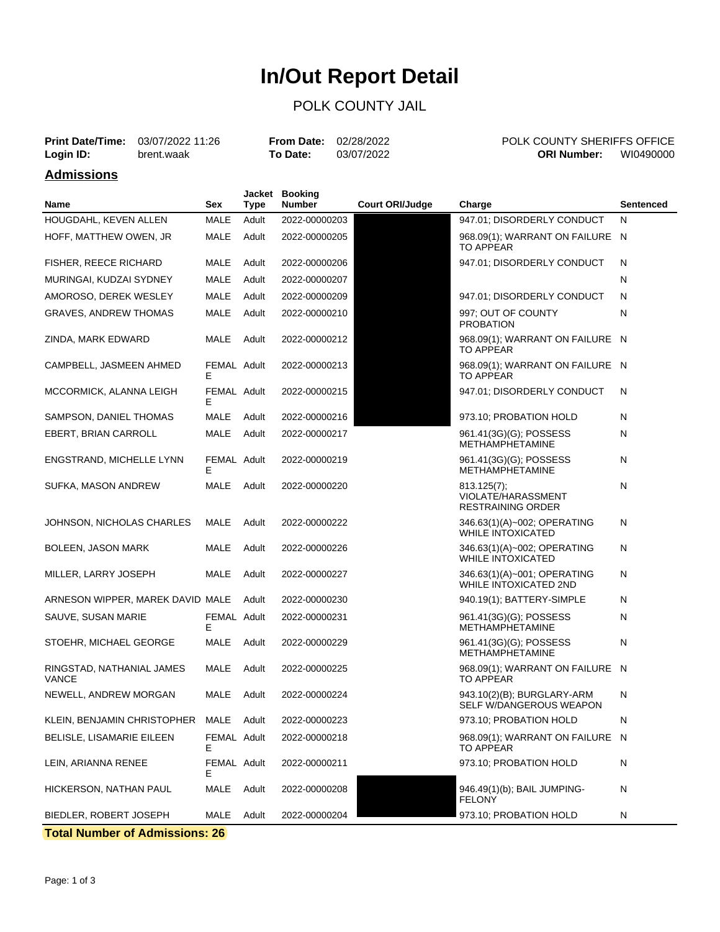# **In/Out Report Detail**

## POLK COUNTY JAIL

| <b>Print Date/Time:</b><br>03/07/2022 11:26<br>Login ID:<br>brent.waak |  |      | <b>From Date:</b><br>To Date: | 02/28/2022<br>03/07/2022 |                        | POLK COUNTY SHERIFFS OFFICE<br><b>ORI Number:</b> | WI0490000 |           |
|------------------------------------------------------------------------|--|------|-------------------------------|--------------------------|------------------------|---------------------------------------------------|-----------|-----------|
| <b>Admissions</b>                                                      |  |      |                               |                          |                        |                                                   |           |           |
| Name                                                                   |  | Sex  | Tvpe                          | Jacket Booking<br>Number | <b>Court ORI/Judge</b> | Charge                                            |           | Sentenced |
| HOUGDAHL, KEVEN ALLEN                                                  |  | MALE | Adult                         | 2022-00000203            |                        | 947.01; DISORDERLY CONDUCT                        |           | N         |

| HOFF, MATTHEW OWEN, JR<br>MALE<br>2022-00000205<br>968.09(1); WARRANT ON FAILURE N<br>Adult<br><b>TO APPEAR</b><br>MALE<br>Adult<br>947.01; DISORDERLY CONDUCT<br>N<br><b>FISHER, REECE RICHARD</b><br>2022-00000206<br>MALE<br>Adult<br>N<br>MURINGAI, KUDZAI SYDNEY<br>2022-00000207<br>AMOROSO, DEREK WESLEY<br>MALE<br>Adult<br>2022-00000209<br>947.01; DISORDERLY CONDUCT<br>N<br><b>MALE</b><br>N<br><b>GRAVES, ANDREW THOMAS</b><br>Adult<br>2022-00000210<br>997: OUT OF COUNTY<br><b>PROBATION</b><br><b>MALE</b><br>968.09(1); WARRANT ON FAILURE N<br>ZINDA, MARK EDWARD<br>Adult<br>2022-00000212<br><b>TO APPEAR</b><br>CAMPBELL, JASMEEN AHMED<br>FEMAL Adult<br>2022-00000213<br>968.09(1); WARRANT ON FAILURE N<br><b>TO APPEAR</b><br>F.<br>FEMAL Adult<br>947.01; DISORDERLY CONDUCT<br>N<br>MCCORMICK, ALANNA LEIGH<br>2022-00000215<br>E<br>SAMPSON, DANIEL THOMAS<br>MALE<br>Adult<br>2022-00000216<br>973.10; PROBATION HOLD<br>Ν<br><b>MALE</b><br><b>EBERT, BRIAN CARROLL</b><br>Adult<br>2022-00000217<br>961.41(3G)(G); POSSESS<br>N<br>METHAMPHETAMINE<br>ENGSTRAND, MICHELLE LYNN<br>FEMAL Adult<br>2022-00000219<br>961.41(3G)(G); POSSESS<br>N<br><b>METHAMPHETAMINE</b><br>E<br>SUFKA, MASON ANDREW<br>MALE<br>Ν<br>Adult<br>2022-00000220<br>813.125(7);<br>VIOLATE/HARASSMENT<br><b>RESTRAINING ORDER</b><br>JOHNSON, NICHOLAS CHARLES<br>MALE<br>Adult<br>346.63(1)(A)~002; OPERATING<br>Ν<br>2022-00000222<br><b>WHILE INTOXICATED</b><br>MALE<br>Adult<br>2022-00000226<br>346.63(1)(A)~002; OPERATING<br>N<br>BOLEEN, JASON MARK<br><b>WHILE INTOXICATED</b><br>MILLER, LARRY JOSEPH<br>MALE<br>Adult<br>2022-00000227<br>346.63(1)(A)~001; OPERATING<br>Ν<br><b>WHILE INTOXICATED 2ND</b><br>ARNESON WIPPER, MAREK DAVID MALE<br>2022-00000230<br>Ν<br>Adult<br>940.19(1); BATTERY-SIMPLE<br>SAUVE, SUSAN MARIE<br>FEMAL Adult<br>2022-00000231<br>961.41(3G)(G); POSSESS<br>Ν<br>METHAMPHETAMINE<br>Е<br>STOEHR, MICHAEL GEORGE<br>MALE<br>961.41(3G)(G); POSSESS<br>N<br>Adult<br>2022-00000229<br><b>METHAMPHETAMINE</b><br>MALE<br>Adult<br>968.09(1); WARRANT ON FAILURE N<br>RINGSTAD, NATHANIAL JAMES<br>2022-00000225<br><b>TO APPEAR</b><br><b>VANCE</b><br>MALE<br>Adult<br>943.10(2)(B); BURGLARY-ARM<br>N<br>NEWELL, ANDREW MORGAN<br>2022-00000224<br>SELF W/DANGEROUS WEAPON<br><b>MALE</b><br>KLEIN, BENJAMIN CHRISTOPHER<br>Adult<br>2022-00000223<br>973.10; PROBATION HOLD<br>N<br><b>BELISLE, LISAMARIE EILEEN</b><br>FEMAL Adult<br>2022-00000218<br>968.09(1); WARRANT ON FAILURE<br>N<br>Е<br>TO APPEAR<br>973.10; PROBATION HOLD<br>LEIN, ARIANNA RENEE<br>FEMAL Adult<br>2022-00000211<br>N<br>Е<br><b>MALE</b><br>946.49(1)(b); BAIL JUMPING-<br>N<br>HICKERSON, NATHAN PAUL<br>Adult<br>2022-00000208<br><b>FELONY</b><br><b>MALE</b><br>973.10; PROBATION HOLD<br>N<br>BIEDLER, ROBERT JOSEPH<br>Adult<br>2022-00000204 | HOUGDAHL, KEVEN ALLEN | MALE | Adult | 2022-00000203 | 947.01; DISORDERLY CONDUCT | N |
|-------------------------------------------------------------------------------------------------------------------------------------------------------------------------------------------------------------------------------------------------------------------------------------------------------------------------------------------------------------------------------------------------------------------------------------------------------------------------------------------------------------------------------------------------------------------------------------------------------------------------------------------------------------------------------------------------------------------------------------------------------------------------------------------------------------------------------------------------------------------------------------------------------------------------------------------------------------------------------------------------------------------------------------------------------------------------------------------------------------------------------------------------------------------------------------------------------------------------------------------------------------------------------------------------------------------------------------------------------------------------------------------------------------------------------------------------------------------------------------------------------------------------------------------------------------------------------------------------------------------------------------------------------------------------------------------------------------------------------------------------------------------------------------------------------------------------------------------------------------------------------------------------------------------------------------------------------------------------------------------------------------------------------------------------------------------------------------------------------------------------------------------------------------------------------------------------------------------------------------------------------------------------------------------------------------------------------------------------------------------------------------------------------------------------------------------------------------------------------------------------------------------------------------------------------------------------------------------------------------------------------------------------------------------------------------------------------------------------------------------------------------------------------------------------------------------------------------------------------------------------------------------|-----------------------|------|-------|---------------|----------------------------|---|
|                                                                                                                                                                                                                                                                                                                                                                                                                                                                                                                                                                                                                                                                                                                                                                                                                                                                                                                                                                                                                                                                                                                                                                                                                                                                                                                                                                                                                                                                                                                                                                                                                                                                                                                                                                                                                                                                                                                                                                                                                                                                                                                                                                                                                                                                                                                                                                                                                                                                                                                                                                                                                                                                                                                                                                                                                                                                                           |                       |      |       |               |                            |   |
|                                                                                                                                                                                                                                                                                                                                                                                                                                                                                                                                                                                                                                                                                                                                                                                                                                                                                                                                                                                                                                                                                                                                                                                                                                                                                                                                                                                                                                                                                                                                                                                                                                                                                                                                                                                                                                                                                                                                                                                                                                                                                                                                                                                                                                                                                                                                                                                                                                                                                                                                                                                                                                                                                                                                                                                                                                                                                           |                       |      |       |               |                            |   |
|                                                                                                                                                                                                                                                                                                                                                                                                                                                                                                                                                                                                                                                                                                                                                                                                                                                                                                                                                                                                                                                                                                                                                                                                                                                                                                                                                                                                                                                                                                                                                                                                                                                                                                                                                                                                                                                                                                                                                                                                                                                                                                                                                                                                                                                                                                                                                                                                                                                                                                                                                                                                                                                                                                                                                                                                                                                                                           |                       |      |       |               |                            |   |
|                                                                                                                                                                                                                                                                                                                                                                                                                                                                                                                                                                                                                                                                                                                                                                                                                                                                                                                                                                                                                                                                                                                                                                                                                                                                                                                                                                                                                                                                                                                                                                                                                                                                                                                                                                                                                                                                                                                                                                                                                                                                                                                                                                                                                                                                                                                                                                                                                                                                                                                                                                                                                                                                                                                                                                                                                                                                                           |                       |      |       |               |                            |   |
|                                                                                                                                                                                                                                                                                                                                                                                                                                                                                                                                                                                                                                                                                                                                                                                                                                                                                                                                                                                                                                                                                                                                                                                                                                                                                                                                                                                                                                                                                                                                                                                                                                                                                                                                                                                                                                                                                                                                                                                                                                                                                                                                                                                                                                                                                                                                                                                                                                                                                                                                                                                                                                                                                                                                                                                                                                                                                           |                       |      |       |               |                            |   |
|                                                                                                                                                                                                                                                                                                                                                                                                                                                                                                                                                                                                                                                                                                                                                                                                                                                                                                                                                                                                                                                                                                                                                                                                                                                                                                                                                                                                                                                                                                                                                                                                                                                                                                                                                                                                                                                                                                                                                                                                                                                                                                                                                                                                                                                                                                                                                                                                                                                                                                                                                                                                                                                                                                                                                                                                                                                                                           |                       |      |       |               |                            |   |
|                                                                                                                                                                                                                                                                                                                                                                                                                                                                                                                                                                                                                                                                                                                                                                                                                                                                                                                                                                                                                                                                                                                                                                                                                                                                                                                                                                                                                                                                                                                                                                                                                                                                                                                                                                                                                                                                                                                                                                                                                                                                                                                                                                                                                                                                                                                                                                                                                                                                                                                                                                                                                                                                                                                                                                                                                                                                                           |                       |      |       |               |                            |   |
|                                                                                                                                                                                                                                                                                                                                                                                                                                                                                                                                                                                                                                                                                                                                                                                                                                                                                                                                                                                                                                                                                                                                                                                                                                                                                                                                                                                                                                                                                                                                                                                                                                                                                                                                                                                                                                                                                                                                                                                                                                                                                                                                                                                                                                                                                                                                                                                                                                                                                                                                                                                                                                                                                                                                                                                                                                                                                           |                       |      |       |               |                            |   |
|                                                                                                                                                                                                                                                                                                                                                                                                                                                                                                                                                                                                                                                                                                                                                                                                                                                                                                                                                                                                                                                                                                                                                                                                                                                                                                                                                                                                                                                                                                                                                                                                                                                                                                                                                                                                                                                                                                                                                                                                                                                                                                                                                                                                                                                                                                                                                                                                                                                                                                                                                                                                                                                                                                                                                                                                                                                                                           |                       |      |       |               |                            |   |
|                                                                                                                                                                                                                                                                                                                                                                                                                                                                                                                                                                                                                                                                                                                                                                                                                                                                                                                                                                                                                                                                                                                                                                                                                                                                                                                                                                                                                                                                                                                                                                                                                                                                                                                                                                                                                                                                                                                                                                                                                                                                                                                                                                                                                                                                                                                                                                                                                                                                                                                                                                                                                                                                                                                                                                                                                                                                                           |                       |      |       |               |                            |   |
|                                                                                                                                                                                                                                                                                                                                                                                                                                                                                                                                                                                                                                                                                                                                                                                                                                                                                                                                                                                                                                                                                                                                                                                                                                                                                                                                                                                                                                                                                                                                                                                                                                                                                                                                                                                                                                                                                                                                                                                                                                                                                                                                                                                                                                                                                                                                                                                                                                                                                                                                                                                                                                                                                                                                                                                                                                                                                           |                       |      |       |               |                            |   |
|                                                                                                                                                                                                                                                                                                                                                                                                                                                                                                                                                                                                                                                                                                                                                                                                                                                                                                                                                                                                                                                                                                                                                                                                                                                                                                                                                                                                                                                                                                                                                                                                                                                                                                                                                                                                                                                                                                                                                                                                                                                                                                                                                                                                                                                                                                                                                                                                                                                                                                                                                                                                                                                                                                                                                                                                                                                                                           |                       |      |       |               |                            |   |
|                                                                                                                                                                                                                                                                                                                                                                                                                                                                                                                                                                                                                                                                                                                                                                                                                                                                                                                                                                                                                                                                                                                                                                                                                                                                                                                                                                                                                                                                                                                                                                                                                                                                                                                                                                                                                                                                                                                                                                                                                                                                                                                                                                                                                                                                                                                                                                                                                                                                                                                                                                                                                                                                                                                                                                                                                                                                                           |                       |      |       |               |                            |   |
|                                                                                                                                                                                                                                                                                                                                                                                                                                                                                                                                                                                                                                                                                                                                                                                                                                                                                                                                                                                                                                                                                                                                                                                                                                                                                                                                                                                                                                                                                                                                                                                                                                                                                                                                                                                                                                                                                                                                                                                                                                                                                                                                                                                                                                                                                                                                                                                                                                                                                                                                                                                                                                                                                                                                                                                                                                                                                           |                       |      |       |               |                            |   |
|                                                                                                                                                                                                                                                                                                                                                                                                                                                                                                                                                                                                                                                                                                                                                                                                                                                                                                                                                                                                                                                                                                                                                                                                                                                                                                                                                                                                                                                                                                                                                                                                                                                                                                                                                                                                                                                                                                                                                                                                                                                                                                                                                                                                                                                                                                                                                                                                                                                                                                                                                                                                                                                                                                                                                                                                                                                                                           |                       |      |       |               |                            |   |
|                                                                                                                                                                                                                                                                                                                                                                                                                                                                                                                                                                                                                                                                                                                                                                                                                                                                                                                                                                                                                                                                                                                                                                                                                                                                                                                                                                                                                                                                                                                                                                                                                                                                                                                                                                                                                                                                                                                                                                                                                                                                                                                                                                                                                                                                                                                                                                                                                                                                                                                                                                                                                                                                                                                                                                                                                                                                                           |                       |      |       |               |                            |   |
|                                                                                                                                                                                                                                                                                                                                                                                                                                                                                                                                                                                                                                                                                                                                                                                                                                                                                                                                                                                                                                                                                                                                                                                                                                                                                                                                                                                                                                                                                                                                                                                                                                                                                                                                                                                                                                                                                                                                                                                                                                                                                                                                                                                                                                                                                                                                                                                                                                                                                                                                                                                                                                                                                                                                                                                                                                                                                           |                       |      |       |               |                            |   |
|                                                                                                                                                                                                                                                                                                                                                                                                                                                                                                                                                                                                                                                                                                                                                                                                                                                                                                                                                                                                                                                                                                                                                                                                                                                                                                                                                                                                                                                                                                                                                                                                                                                                                                                                                                                                                                                                                                                                                                                                                                                                                                                                                                                                                                                                                                                                                                                                                                                                                                                                                                                                                                                                                                                                                                                                                                                                                           |                       |      |       |               |                            |   |
|                                                                                                                                                                                                                                                                                                                                                                                                                                                                                                                                                                                                                                                                                                                                                                                                                                                                                                                                                                                                                                                                                                                                                                                                                                                                                                                                                                                                                                                                                                                                                                                                                                                                                                                                                                                                                                                                                                                                                                                                                                                                                                                                                                                                                                                                                                                                                                                                                                                                                                                                                                                                                                                                                                                                                                                                                                                                                           |                       |      |       |               |                            |   |
|                                                                                                                                                                                                                                                                                                                                                                                                                                                                                                                                                                                                                                                                                                                                                                                                                                                                                                                                                                                                                                                                                                                                                                                                                                                                                                                                                                                                                                                                                                                                                                                                                                                                                                                                                                                                                                                                                                                                                                                                                                                                                                                                                                                                                                                                                                                                                                                                                                                                                                                                                                                                                                                                                                                                                                                                                                                                                           |                       |      |       |               |                            |   |
|                                                                                                                                                                                                                                                                                                                                                                                                                                                                                                                                                                                                                                                                                                                                                                                                                                                                                                                                                                                                                                                                                                                                                                                                                                                                                                                                                                                                                                                                                                                                                                                                                                                                                                                                                                                                                                                                                                                                                                                                                                                                                                                                                                                                                                                                                                                                                                                                                                                                                                                                                                                                                                                                                                                                                                                                                                                                                           |                       |      |       |               |                            |   |
|                                                                                                                                                                                                                                                                                                                                                                                                                                                                                                                                                                                                                                                                                                                                                                                                                                                                                                                                                                                                                                                                                                                                                                                                                                                                                                                                                                                                                                                                                                                                                                                                                                                                                                                                                                                                                                                                                                                                                                                                                                                                                                                                                                                                                                                                                                                                                                                                                                                                                                                                                                                                                                                                                                                                                                                                                                                                                           |                       |      |       |               |                            |   |
|                                                                                                                                                                                                                                                                                                                                                                                                                                                                                                                                                                                                                                                                                                                                                                                                                                                                                                                                                                                                                                                                                                                                                                                                                                                                                                                                                                                                                                                                                                                                                                                                                                                                                                                                                                                                                                                                                                                                                                                                                                                                                                                                                                                                                                                                                                                                                                                                                                                                                                                                                                                                                                                                                                                                                                                                                                                                                           |                       |      |       |               |                            |   |
|                                                                                                                                                                                                                                                                                                                                                                                                                                                                                                                                                                                                                                                                                                                                                                                                                                                                                                                                                                                                                                                                                                                                                                                                                                                                                                                                                                                                                                                                                                                                                                                                                                                                                                                                                                                                                                                                                                                                                                                                                                                                                                                                                                                                                                                                                                                                                                                                                                                                                                                                                                                                                                                                                                                                                                                                                                                                                           |                       |      |       |               |                            |   |
|                                                                                                                                                                                                                                                                                                                                                                                                                                                                                                                                                                                                                                                                                                                                                                                                                                                                                                                                                                                                                                                                                                                                                                                                                                                                                                                                                                                                                                                                                                                                                                                                                                                                                                                                                                                                                                                                                                                                                                                                                                                                                                                                                                                                                                                                                                                                                                                                                                                                                                                                                                                                                                                                                                                                                                                                                                                                                           |                       |      |       |               |                            |   |

**Total Number of Admissions: 26**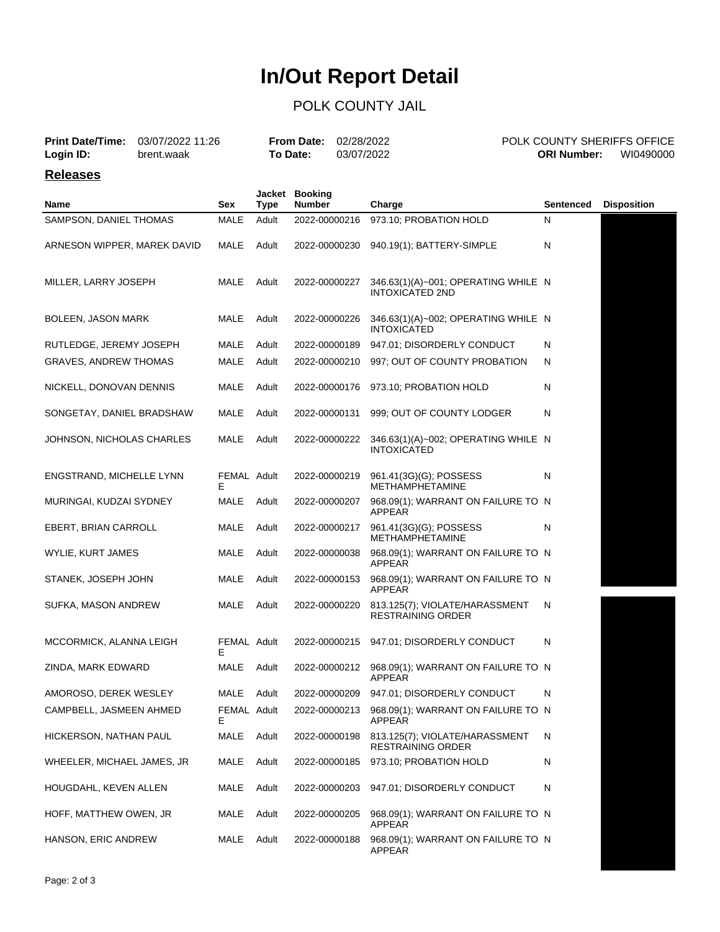# **In/Out Report Detail**

## POLK COUNTY JAIL

| <b>Print Date/Time:</b><br>03/07/2022 11:26<br>Login ID:<br>brent.waak |  | <b>From Date:</b><br>To Date: |                | 02/28/2022<br>03/07/2022        |  | <b>ORI Number:</b>                                            | POLK COUNTY SHERIFFS OFFICE<br>WI0490000 |                    |
|------------------------------------------------------------------------|--|-------------------------------|----------------|---------------------------------|--|---------------------------------------------------------------|------------------------------------------|--------------------|
| <b>Releases</b>                                                        |  |                               |                |                                 |  |                                                               |                                          |                    |
| <b>Name</b>                                                            |  | Sex                           | Jacket<br>Type | <b>Booking</b><br><b>Number</b> |  | Charge                                                        | <b>Sentenced</b>                         | <b>Disposition</b> |
| SAMPSON, DANIEL THOMAS                                                 |  | <b>MALE</b>                   | Adult          | 2022-00000216                   |  | 973.10; PROBATION HOLD                                        | N                                        |                    |
| ARNESON WIPPER, MAREK DAVID                                            |  | MALE                          | Adult          | 2022-00000230                   |  | 940.19(1); BATTERY-SIMPLE                                     | N                                        |                    |
| MILLER, LARRY JOSEPH                                                   |  | MALE                          | Adult          | 2022-00000227                   |  | 346.63(1)(A)~001; OPERATING WHILE N<br><b>INTOXICATED 2ND</b> |                                          |                    |
| BOLEEN, JASON MARK                                                     |  | MALE                          | Adult          | 2022-00000226                   |  | 346.63(1)(A)~002; OPERATING WHILE N<br><b>INTOXICATED</b>     |                                          |                    |
| RUTLEDGE, JEREMY JOSEPH                                                |  | MALE                          | Adult          | 2022-00000189                   |  | 947.01; DISORDERLY CONDUCT                                    | N                                        |                    |
| <b>GRAVES, ANDREW THOMAS</b>                                           |  | MALE                          | Adult          | 2022-00000210                   |  | 997; OUT OF COUNTY PROBATION                                  | N                                        |                    |
| NICKELL, DONOVAN DENNIS                                                |  | MALE                          | Adult          | 2022-00000176                   |  | 973.10; PROBATION HOLD                                        | N                                        |                    |
| SONGETAY, DANIEL BRADSHAW                                              |  | MALE                          | Adult          | 2022-00000131                   |  | 999; OUT OF COUNTY LODGER                                     | N                                        |                    |
| JOHNSON, NICHOLAS CHARLES                                              |  | MALE                          | Adult          | 2022-00000222                   |  | 346.63(1)(A)~002; OPERATING WHILE N<br><b>INTOXICATED</b>     |                                          |                    |
| ENGSTRAND, MICHELLE LYNN                                               |  | FEMAL Adult<br>Е              |                | 2022-00000219                   |  | 961.41(3G)(G); POSSESS<br><b>METHAMPHETAMINE</b>              | N                                        |                    |
| MURINGAI, KUDZAI SYDNEY                                                |  | MALE                          | Adult          | 2022-00000207                   |  | 968.09(1); WARRANT ON FAILURE TO N<br>APPEAR                  |                                          |                    |
| EBERT, BRIAN CARROLL                                                   |  | MALE                          | Adult          | 2022-00000217                   |  | 961.41(3G)(G); POSSESS<br><b>METHAMPHETAMINE</b>              | N                                        |                    |
| WYLIE, KURT JAMES                                                      |  | MALE                          | Adult          | 2022-00000038                   |  | 968.09(1); WARRANT ON FAILURE TO N<br>APPEAR                  |                                          |                    |
| STANEK, JOSEPH JOHN                                                    |  | MALE                          | Adult          | 2022-00000153                   |  | 968.09(1); WARRANT ON FAILURE TO N<br>APPEAR                  |                                          |                    |
| SUFKA, MASON ANDREW                                                    |  | MALE                          | Adult          | 2022-00000220                   |  | 813.125(7); VIOLATE/HARASSMENT<br><b>RESTRAINING ORDER</b>    | N                                        |                    |
| MCCORMICK, ALANNA LEIGH                                                |  | FEMAL Adult<br>Е              |                | 2022-00000215                   |  | 947.01; DISORDERLY CONDUCT                                    | N                                        |                    |
| ZINDA, MARK EDWARD                                                     |  | MALE                          | Adult          | 2022-00000212                   |  | 968.09(1); WARRANT ON FAILURE TO N<br>APPEAR                  |                                          |                    |
| AMOROSO, DEREK WESLEY                                                  |  | MALE                          | Adult          | 2022-00000209                   |  | 947.01; DISORDERLY CONDUCT                                    | N                                        |                    |
| CAMPBELL, JASMEEN AHMED                                                |  | FEMAL Adult<br>Е              |                | 2022-00000213                   |  | 968.09(1); WARRANT ON FAILURE TO N<br>APPEAR                  |                                          |                    |
| HICKERSON, NATHAN PAUL                                                 |  | <b>MALE</b>                   | Adult          | 2022-00000198                   |  | 813.125(7); VIOLATE/HARASSMENT<br><b>RESTRAINING ORDER</b>    | N                                        |                    |
| WHEELER, MICHAEL JAMES, JR                                             |  | MALE                          | Adult          | 2022-00000185                   |  | 973.10; PROBATION HOLD                                        | N                                        |                    |
| HOUGDAHL, KEVEN ALLEN                                                  |  | MALE                          | Adult          | 2022-00000203                   |  | 947.01; DISORDERLY CONDUCT                                    | N                                        |                    |
| HOFF, MATTHEW OWEN, JR                                                 |  | MALE                          | Adult          | 2022-00000205                   |  | 968.09(1); WARRANT ON FAILURE TO N<br>APPEAR                  |                                          |                    |
| HANSON, ERIC ANDREW                                                    |  | MALE                          | Adult          | 2022-00000188                   |  | 968.09(1); WARRANT ON FAILURE TO N<br>APPEAR                  |                                          |                    |